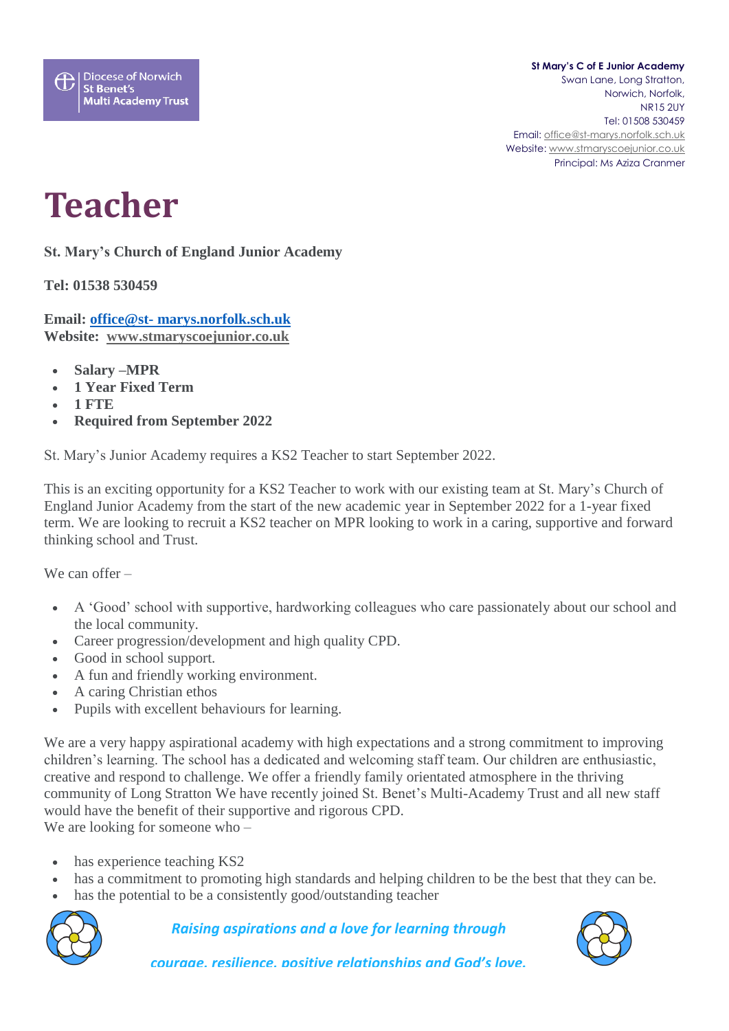## **St Mary's C of E Junior Academy** Swan Lane, Long Stratton, Norwich, Norfolk, NR15 2UY Tel: 01508 530459 Email[: office@st-marys.norfolk.sch.uk](mailto:office@st-marys.norfolk.sch.uk) Website[: www.stmaryscoejunior.co.uk](http://www.stmaryscoejunior.co.uk/) Principal: Ms Aziza Cranmer

## **Teacher**

**St. Mary's Church of England Junior Academy**

**Tel: 01538 530459**

**Email: office@st- [marys.norfolk.sch.uk](mailto:office@gayton.norfolk.sch.uk) Website: [www.stmaryscoejunior.co.uk](http://www.stmaryscoejunior.co.uk/)**

- **Salary –MPR**
- **1 Year Fixed Term**
- **1 FTE**
- **Required from September 2022**

St. Mary's Junior Academy requires a KS2 Teacher to start September 2022.

This is an exciting opportunity for a KS2 Teacher to work with our existing team at St. Mary's Church of England Junior Academy from the start of the new academic year in September 2022 for a 1-year fixed term. We are looking to recruit a KS2 teacher on MPR looking to work in a caring, supportive and forward thinking school and Trust.

We can offer –

- A 'Good' school with supportive, hardworking colleagues who care passionately about our school and the local community.
- Career progression/development and high quality CPD.
- Good in school support.
- A fun and friendly working environment.
- A caring Christian ethos
- Pupils with excellent behaviours for learning.

We are a very happy aspirational academy with high expectations and a strong commitment to improving children's learning. The school has a dedicated and welcoming staff team. Our children are enthusiastic, creative and respond to challenge. We offer a friendly family orientated atmosphere in the thriving community of Long Stratton We have recently joined St. Benet's Multi-Academy Trust and all new staff would have the benefit of their supportive and rigorous CPD. We are looking for someone who –

- has experience teaching KS2
- has a commitment to promoting high standards and helping children to be the best that they can be.
- has the potential to be a consistently good/outstanding teacher



## *Raising aspirations and a love for learning through*



*courage, resilience, positive relationships and God's love.*